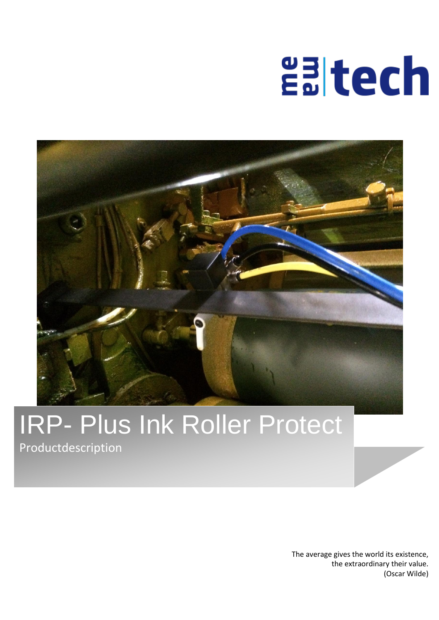# **ealtech**



# IRP- Plus Ink Roller Protect

Productdescription

The average gives the world its existence, the extraordinary their value. (Oscar Wilde)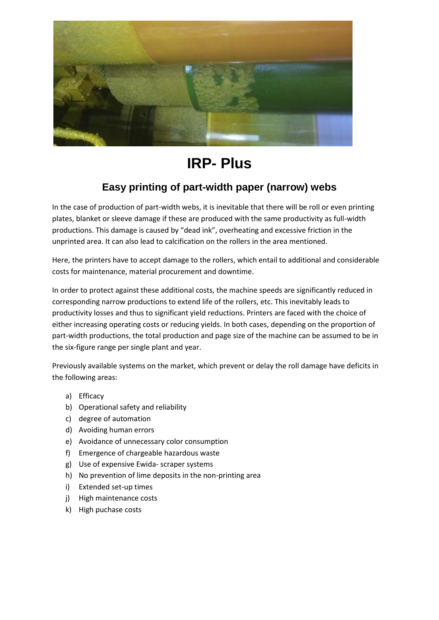

### **IRP- Plus**

#### **Easy printing of part-width paper (narrow) webs**

In the case of production of part-width webs, it is inevitable that there will be roll or even printing plates, blanket or sleeve damage if these are produced with the same productivity as full-width productions. This damage is caused by "dead ink", overheating and excessive friction in the unprinted area. It can also lead to calcification on the rollers in the area mentioned.

Here, the printers have to accept damage to the rollers, which entail to additional and considerable costs for maintenance, material procurement and downtime.

In order to protect against these additional costs, the machine speeds are significantly reduced in corresponding narrow productions to extend life of the rollers, etc. This inevitably leads to productivity losses and thus to significant yield reductions. Printers are faced with the choice of either increasing operating costs or reducing yields. In both cases, depending on the proportion of part-width productions, the total production and page size of the machine can be assumed to be in the six-figure range per single plant and year.

Previously available systems on the market, which prevent or delay the roll damage have deficits in the following areas:

- a) Efficacy
- b) Operational safety and reliability
- c) degree of automation
- d) Avoiding human errors
- e) Avoidance of unnecessary color consumption
- f) Emergence of chargeable hazardous waste
- g) Use of expensive Ewida- scraper systems
- h) No prevention of lime deposits in the non-printing area
- i) Extended set-up times
- j) High maintenance costs
- k) High puchase costs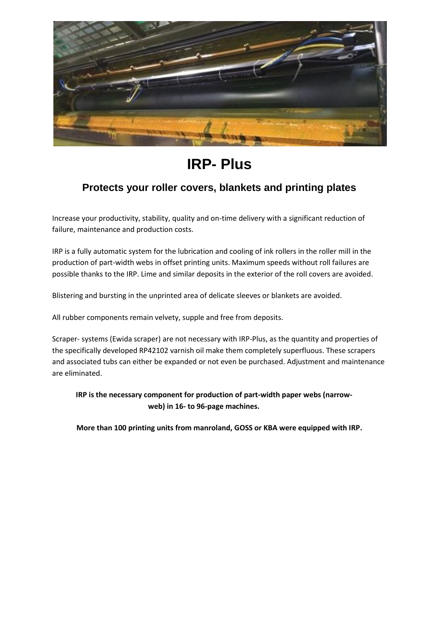

# **IRP- Plus**

#### **Protects your roller covers, blankets and printing plates**

Increase your productivity, stability, quality and on-time delivery with a significant reduction of failure, maintenance and production costs.

IRP is a fully automatic system for the lubrication and cooling of ink rollers in the roller mill in the production of part-width webs in offset printing units. Maximum speeds without roll failures are possible thanks to the IRP. Lime and similar deposits in the exterior of the roll covers are avoided.

Blistering and bursting in the unprinted area of delicate sleeves or blankets are avoided.

All rubber components remain velvety, supple and free from deposits.

Scraper- systems (Ewida scraper) are not necessary with IRP-Plus, as the quantity and properties of the specifically developed RP42102 varnish oil make them completely superfluous. These scrapers and associated tubs can either be expanded or not even be purchased. Adjustment and maintenance are eliminated.

**IRP is the necessary component for production of part-width paper webs (narrowweb) in 16- to 96-page machines.**

**More than 100 printing units from manroland, GOSS or KBA were equipped with IRP.**